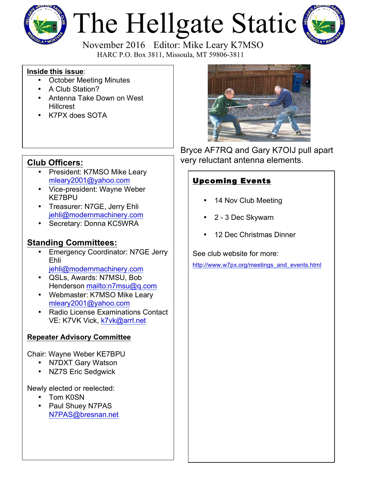

# The Hellgate Static



 November 2016 Editor: Mike Leary K7MSO HARC P.O. Box 3811, Missoula, MT 59806-3811

#### **Inside this issue**:

- October Meeting Minutes
- A Club Station?
- Antenna Take Down on West **Hillcrest**
- K7PX does SOTA

- President: K7MSO Mike Leary mleary2001@yahoo.com
- Vice-president: Wayne Weber KE7BPU
- Treasurer: N7GE, Jerry Ehli jehli@modernmachinery.com
- Secretary: Donna KC5WRA

## **Standing Committees:**

- **Emergency Coordinator: N7GE Jerry** Ehli jehli@modernmachinery.com
- QSLs, Awards: N7MSU, Bob Henderson mailto:n7msu@q.com
- Webmaster: K7MSO Mike Leary mleary2001@yahoo.com
- Radio License Examinations Contact VE: K7VK Vick, k7vk@arrl.net

#### **Repeater Advisory Committee**

Chair: Wayne Weber KE7BPU

- N7DXT Gary Watson
- NZ7S Eric Sedgwick

Newly elected or reelected:

- Tom K0SN
- Paul Shuey N7PAS N7PAS@bresnan.net



Bryce AF7RQ and Gary K7OIJ pull apart **Club Officers:** very reluctant antenna elements.

### Upcoming Events

- 14 Nov Club Meeting
- 2 3 Dec Skywarn
- 12 Dec Christmas Dinner

See club website for more:

http://www.w7px.org/meetings\_and\_events.html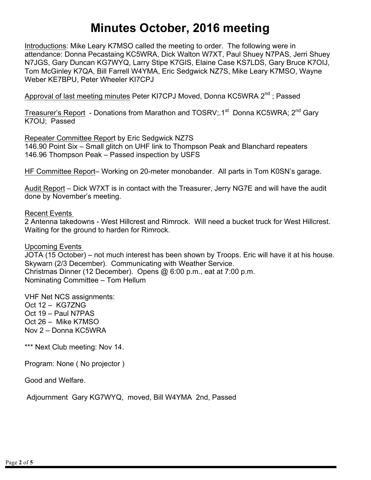# **Minutes October, 2016 meeting**

Introductions: Mike Leary K7MSO called the meeting to order. The following were in attendance: Donna Pecastaing KC5WRA, Dick Walton W7XT, Paul Shuey N7PAS, Jerri Shuey N7JGS, Gary Duncan KG7WYQ, Larry Stipe K7GIS, Elaine Case KS7LDS, Gary Bruce K7OIJ, Tom McGinley K7QA, Bill Farrell W4YMA, Eric Sedgwick NZ7S, Mike Leary K7MSO, Wayne Weber KE7BPU, Peter Wheeler KI7CPJ

Approval of last meeting minutes Peter KI7CPJ Moved, Donna KC5WRA 2<sup>nd</sup> ; Passed

Treasurer's Report - Donations from Marathon and TOSRV; 1<sup>st</sup> Donna KC5WRA; 2<sup>nd</sup> Gary K7OIJ; Passed

Repeater Committee Report by Eric Sedgwick NZ7S 146.90 Point Six – Small glitch on UHF link to Thompson Peak and Blanchard repeaters 146.96 Thompson Peak – Passed inspection by USFS

HF Committee Report– Working on 20-meter monobander. All parts in Tom K0SN's garage.

Audit Report – Dick W7XT is in contact with the Treasurer, Jerry NG7E and will have the audit done by November's meeting.

Recent Events

2 Antenna takedowns - West Hillcrest and Rimrock. Will need a bucket truck for West Hillcrest. Waiting for the ground to harden for Rimrock.

Upcoming Events JOTA (15 October) – not much interest has been shown by Troops. Eric will have it at his house. Skywarn (2/3 December). Communicating with Weather Service. Christmas Dinner (12 December). Opens @ 6:00 p.m., eat at 7:00 p.m. Nominating Committee – Tom Hellum

VHF Net NCS assignments: Oct 12 – KG7ZNG Oct 19 – Paul N7PAS Oct 26 – Mike K7MSO Nov 2 – Donna KC5WRA

\*\*\* Next Club meeting: Nov 14.

Program: None ( No projector )

Good and Welfare.

Adjournment Gary KG7WYQ, moved, Bill W4YMA 2nd, Passed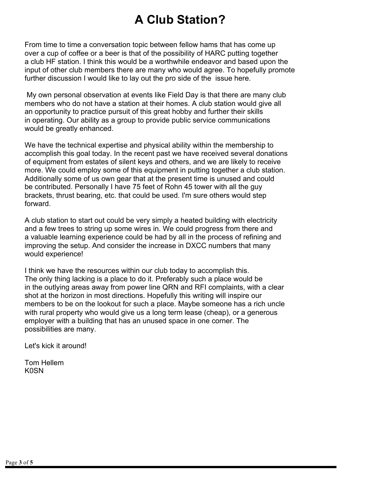# **A Club Station?**

From time to time a conversation topic between fellow hams that has come up over a cup of coffee or a beer is that of the possibility of HARC putting together a club HF station. I think this would be a worthwhile endeavor and based upon the input of other club members there are many who would agree. To hopefully promote further discussion I would like to lay out the pro side of the issue here.

My own personal observation at events like Field Day is that there are many club members who do not have a station at their homes. A club station would give all an opportunity to practice pursuit of this great hobby and further their skills in operating. Our ability as a group to provide public service communications would be greatly enhanced.

We have the technical expertise and physical ability within the membership to accomplish this goal today. In the recent past we have received several donations of equipment from estates of silent keys and others, and we are likely to receive more. We could employ some of this equipment in putting together a club station. Additionally some of us own gear that at the present time is unused and could be contributed. Personally I have 75 feet of Rohn 45 tower with all the guy brackets, thrust bearing, etc. that could be used. I'm sure others would step forward.

A club station to start out could be very simply a heated building with electricity and a few trees to string up some wires in. We could progress from there and a valuable learning experience could be had by all in the process of refining and improving the setup. And consider the increase in DXCC numbers that many would experience!

I think we have the resources within our club today to accomplish this. The only thing lacking is a place to do it. Preferably such a place would be in the outlying areas away from power line QRN and RFI complaints, with a clear shot at the horizon in most directions. Hopefully this writing will inspire our members to be on the lookout for such a place. Maybe someone has a rich uncle with rural property who would give us a long term lease (cheap), or a generous employer with a building that has an unused space in one corner. The possibilities are many.

Let's kick it around!

Tom Hellem K0SN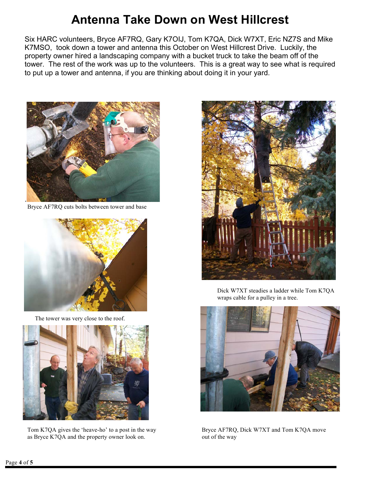# **Antenna Take Down on West Hillcrest**

Six HARC volunteers, Bryce AF7RQ, Gary K7OIJ, Tom K7QA, Dick W7XT, Eric NZ7S and Mike K7MSO, took down a tower and antenna this October on West Hillcrest Drive. Luckily, the property owner hired a landscaping company with a bucket truck to take the beam off of the tower. The rest of the work was up to the volunteers. This is a great way to see what is required to put up a tower and antenna, if you are thinking about doing it in your yard.



Bryce AF7RQ cuts bolts between tower and base



The tower was very close to the roof.



Tom K7QA gives the 'heave-ho' to a post in the way Bryce AF7RQ, Dick W7XT and Tom K7QA move as Bryce K7QA and the property owner look on. out of the way



Dick W7XT steadies a ladder while Tom K7QA wraps cable for a pulley in a tree.